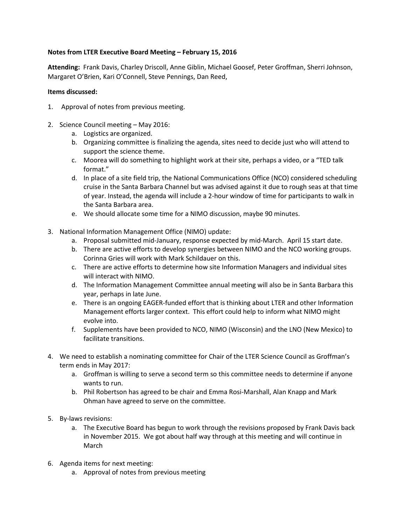## **Notes from LTER Executive Board Meeting – February 15, 2016**

**Attending:** Frank Davis, Charley Driscoll, Anne Giblin, Michael Goosef, Peter Groffman, Sherri Johnson, Margaret O'Brien, Kari O'Connell, Steve Pennings, Dan Reed,

## **Items discussed:**

- 1. Approval of notes from previous meeting.
- 2. Science Council meeting May 2016:
	- a. Logistics are organized.
	- b. Organizing committee is finalizing the agenda, sites need to decide just who will attend to support the science theme.
	- c. Moorea will do something to highlight work at their site, perhaps a video, or a "TED talk format."
	- d. In place of a site field trip, the National Communications Office (NCO) considered scheduling cruise in the Santa Barbara Channel but was advised against it due to rough seas at that time of year. Instead, the agenda will include a 2-hour window of time for participants to walk in the Santa Barbara area.
	- e. We should allocate some time for a NIMO discussion, maybe 90 minutes.
- 3. National Information Management Office (NIMO) update:
	- a. Proposal submitted mid-January, response expected by mid-March. April 15 start date.
	- b. There are active efforts to develop synergies between NIMO and the NCO working groups. Corinna Gries will work with Mark Schildauer on this.
	- c. There are active efforts to determine how site Information Managers and individual sites will interact with NIMO.
	- d. The Information Management Committee annual meeting will also be in Santa Barbara this year, perhaps in late June.
	- e. There is an ongoing EAGER-funded effort that is thinking about LTER and other Information Management efforts larger context. This effort could help to inform what NIMO might evolve into.
	- f. Supplements have been provided to NCO, NIMO (Wisconsin) and the LNO (New Mexico) to facilitate transitions.
- 4. We need to establish a nominating committee for Chair of the LTER Science Council as Groffman's term ends in May 2017:
	- a. Groffman is willing to serve a second term so this committee needs to determine if anyone wants to run.
	- b. Phil Robertson has agreed to be chair and Emma Rosi-Marshall, Alan Knapp and Mark Ohman have agreed to serve on the committee.
- 5. By-laws revisions:
	- a. The Executive Board has begun to work through the revisions proposed by Frank Davis back in November 2015. We got about half way through at this meeting and will continue in March
- 6. Agenda items for next meeting:
	- a. Approval of notes from previous meeting